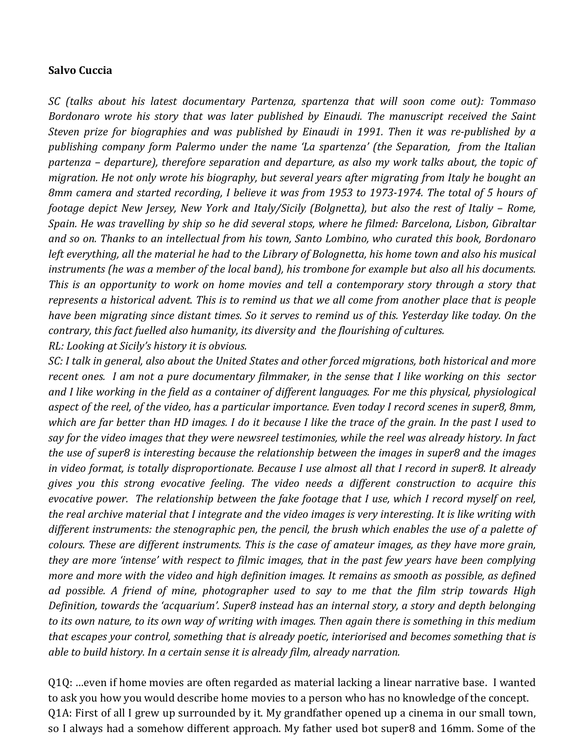## **Salvo Cuccia**

*SC (talks about his latest documentary Partenza, spartenza that will soon come out): Tommaso Bordonaro* wrote his story that was later published by Einaudi. The manuscript received the Saint *Steven prize for biographies and was published by Einaudi in 1991. Then it was re-published by a publishing company form Palermo under the name 'La spartenza' (the Separation, from the Italian* partenza – departure), therefore separation and departure, as also my work talks about, the topic of *migration.* He not only wrote his biography, but several years after migrating from Italy he bought an *8mm camera and started recording, I believe it was from 1953 to 1973-1974. The total of 5 hours of footage depict New Jersey, New York and Italy/Sicily (Bolgnetta), but also the rest of Italiy - Rome, Spain.* He was travelling by ship so he did several stops, where he filmed: Barcelona, Lisbon, Gibraltar and so on. Thanks to an intellectual from his town, Santo Lombino, who curated this book, Bordonaro *left* everything, all the material he had to the Library of Bolognetta, his home town and also his musical *instruments* (he was a member of the local band), his trombone for example but also all his documents. *This* is an opportunity to work on home movies and tell a contemporary story through a story that *represents a historical advent. This is to remind us that we all come from another place that is people have been migrating since distant times.* So it serves to remind us of this. Yesterday like today. On the *contrary, this fact fuelled also humanity, its diversity and the flourishing of cultures. RL: Looking at Sicily's history it is obvious.* 

*SC: I* talk in general, also about the United States and other forced migrations, both historical and more recent ones. I am not a pure documentary filmmaker, in the sense that I like working on this sector and I like working in the field as a container of different languages. For me this physical, physiological aspect of the reel, of the video, has a particular importance. Even today I record scenes in super8, 8mm, which are far better than HD images. I do it because I like the trace of the grain. In the past I used to say for the video images that they were newsreel testimonies, while the reel was already history. In fact *the use of super8* is interesting because the relationship between the images in super8 and the images *in* video format, is totally disproportionate. Because I use almost all that I record in super8. It already *gives* you this strong evocative feeling. The video needs a different construction to acquire this *evocative power.* The relationship between the fake footage that I use, which I record myself on reel, the real archive material that I integrate and the video images is very interesting. It is like writing with different instruments: the stenographic pen, the pencil, the brush which enables the use of a palette of *colours.* These are different instruments. This is the case of amateur images, as they have more grain, *they are more 'intense' with respect to filmic images, that in the past few years have been complying more and more with the video and high definition images. It remains as smooth as possible, as defined ad possible.* A friend of mine, photographer used to say to me that the film strip towards High *Definition, towards the 'acquarium'.* Super8 instead has an internal story, a story and depth belonging to its own nature, to its own way of writing with images. Then again there is something in this medium that escapes your control, something that is already poetic, interiorised and becomes something that is *able to build history. In a certain sense it is already film, already narration.* 

Q1Q: …even if home movies are often regarded as material lacking a linear narrative base. I wanted to ask you how you would describe home movies to a person who has no knowledge of the concept. Q1A: First of all I grew up surrounded by it. My grandfather opened up a cinema in our small town, so I always had a somehow different approach. My father used bot super8 and 16mm. Some of the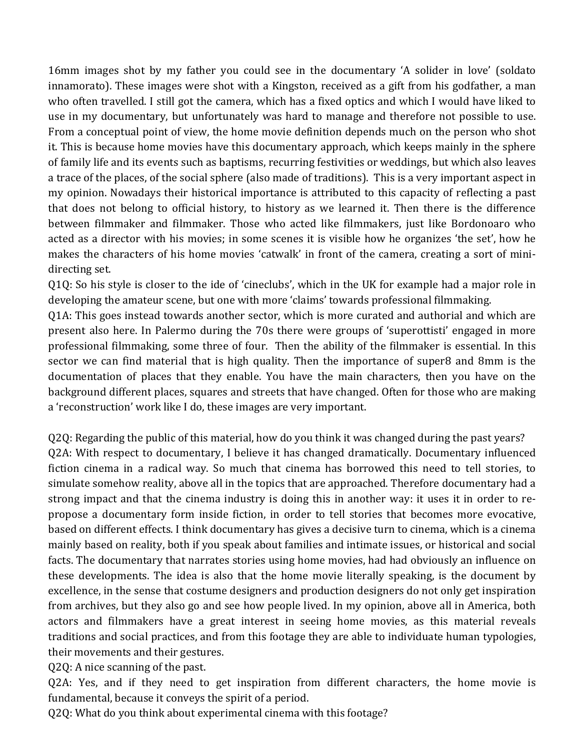16mm images shot by my father you could see in the documentary 'A solider in love' (soldato innamorato). These images were shot with a Kingston, received as a gift from his godfather, a man who often travelled. I still got the camera, which has a fixed optics and which I would have liked to use in my documentary, but unfortunately was hard to manage and therefore not possible to use. From a conceptual point of view, the home movie definition depends much on the person who shot it. This is because home movies have this documentary approach, which keeps mainly in the sphere of family life and its events such as baptisms, recurring festivities or weddings, but which also leaves a trace of the places, of the social sphere (also made of traditions). This is a very important aspect in my opinion. Nowadays their historical importance is attributed to this capacity of reflecting a past that does not belong to official history, to history as we learned it. Then there is the difference between filmmaker and filmmaker. Those who acted like filmmakers, just like Bordonoaro who acted as a director with his movies; in some scenes it is visible how he organizes 'the set', how he makes the characters of his home movies 'catwalk' in front of the camera, creating a sort of minidirecting set.

 $Q1Q$ : So his style is closer to the ide of 'cineclubs', which in the UK for example had a major role in developing the amateur scene, but one with more 'claims' towards professional filmmaking.

Q1A: This goes instead towards another sector, which is more curated and authorial and which are present also here. In Palermo during the 70s there were groups of 'superottisti' engaged in more professional filmmaking, some three of four. Then the ability of the filmmaker is essential. In this sector we can find material that is high quality. Then the importance of super8 and 8mm is the documentation of places that they enable. You have the main characters, then you have on the background different places, squares and streets that have changed. Often for those who are making a 'reconstruction' work like I do, these images are very important.

Q2Q: Regarding the public of this material, how do you think it was changed during the past years? Q2A: With respect to documentary, I believe it has changed dramatically. Documentary influenced fiction cinema in a radical way. So much that cinema has borrowed this need to tell stories, to simulate somehow reality, above all in the topics that are approached. Therefore documentary had a strong impact and that the cinema industry is doing this in another way: it uses it in order to repropose a documentary form inside fiction, in order to tell stories that becomes more evocative, based on different effects. I think documentary has gives a decisive turn to cinema, which is a cinema mainly based on reality, both if you speak about families and intimate issues, or historical and social facts. The documentary that narrates stories using home movies, had had obviously an influence on these developments. The idea is also that the home movie literally speaking, is the document by excellence, in the sense that costume designers and production designers do not only get inspiration from archives, but they also go and see how people lived. In my opinion, above all in America, both actors and filmmakers have a great interest in seeing home movies, as this material reveals traditions and social practices, and from this footage they are able to individuate human typologies, their movements and their gestures.

Q2Q: A nice scanning of the past.

Q2A: Yes, and if they need to get inspiration from different characters, the home movie is fundamental, because it conveys the spirit of a period.

Q2Q: What do you think about experimental cinema with this footage?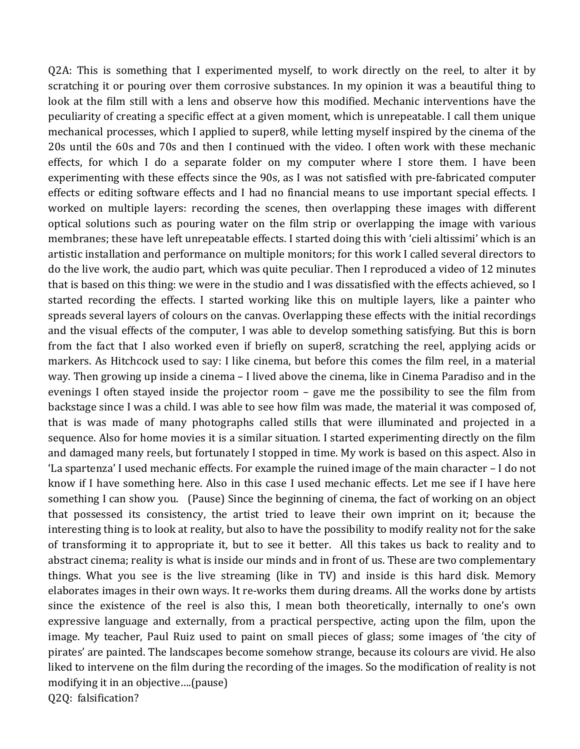$Q2A$ : This is something that I experimented myself, to work directly on the reel, to alter it by scratching it or pouring over them corrosive substances. In my opinion it was a beautiful thing to look at the film still with a lens and observe how this modified. Mechanic interventions have the peculiarity of creating a specific effect at a given moment, which is unrepeatable. I call them unique mechanical processes, which I applied to super8, while letting myself inspired by the cinema of the 20s until the 60s and 70s and then I continued with the video. I often work with these mechanic effects, for which I do a separate folder on my computer where I store them. I have been experimenting with these effects since the 90s, as I was not satisfied with pre-fabricated computer effects or editing software effects and I had no financial means to use important special effects. I worked on multiple layers: recording the scenes, then overlapping these images with different optical solutions such as pouring water on the film strip or overlapping the image with various membranes; these have left unrepeatable effects. I started doing this with 'cieli altissimi' which is an artistic installation and performance on multiple monitors; for this work I called several directors to do the live work, the audio part, which was quite peculiar. Then I reproduced a video of 12 minutes that is based on this thing: we were in the studio and I was dissatisfied with the effects achieved, so I started recording the effects. I started working like this on multiple layers, like a painter who spreads several layers of colours on the canvas. Overlapping these effects with the initial recordings and the visual effects of the computer, I was able to develop something satisfying. But this is born from the fact that I also worked even if briefly on super8, scratching the reel, applying acids or markers. As Hitchcock used to say: I like cinema, but before this comes the film reel, in a material way. Then growing up inside a cinema  $-1$  lived above the cinema, like in Cinema Paradiso and in the evenings I often stayed inside the projector room  $-$  gave me the possibility to see the film from backstage since I was a child. I was able to see how film was made, the material it was composed of, that is was made of many photographs called stills that were illuminated and projected in a sequence. Also for home movies it is a similar situation. I started experimenting directly on the film and damaged many reels, but fortunately I stopped in time. My work is based on this aspect. Also in 'La spartenza' I used mechanic effects. For example the ruined image of the main character – I do not know if I have something here. Also in this case I used mechanic effects. Let me see if I have here something I can show you. (Pause) Since the beginning of cinema, the fact of working on an object that possessed its consistency, the artist tried to leave their own imprint on it; because the interesting thing is to look at reality, but also to have the possibility to modify reality not for the sake of transforming it to appropriate it, but to see it better. All this takes us back to reality and to abstract cinema; reality is what is inside our minds and in front of us. These are two complementary things. What you see is the live streaming (like in TV) and inside is this hard disk. Memory elaborates images in their own ways. It re-works them during dreams. All the works done by artists since the existence of the reel is also this, I mean both theoretically, internally to one's own expressive language and externally, from a practical perspective, acting upon the film, upon the image. My teacher, Paul Ruiz used to paint on small pieces of glass; some images of 'the city of pirates' are painted. The landscapes become somehow strange, because its colours are vivid. He also liked to intervene on the film during the recording of the images. So the modification of reality is not modifying it in an objective....(pause) Q2Q: falsification?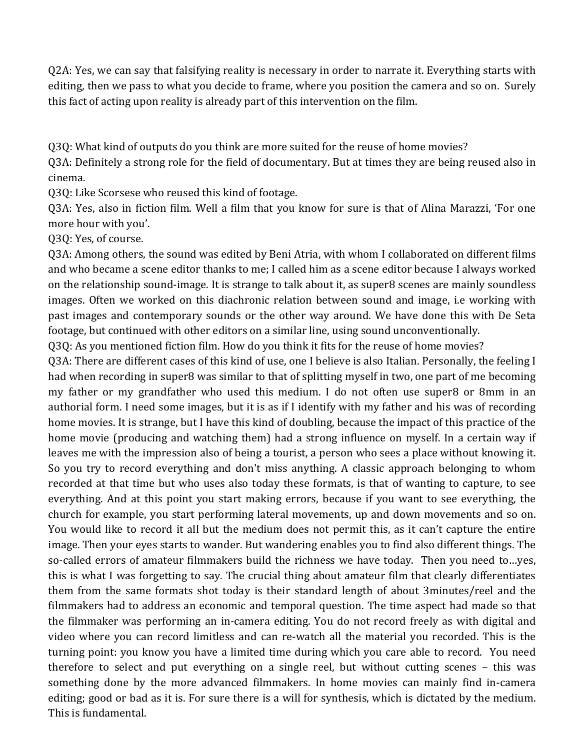Q2A: Yes, we can say that falsifying reality is necessary in order to narrate it. Everything starts with editing, then we pass to what you decide to frame, where you position the camera and so on. Surely this fact of acting upon reality is already part of this intervention on the film.

O3O: What kind of outputs do you think are more suited for the reuse of home movies?

Q3A: Definitely a strong role for the field of documentary. But at times they are being reused also in cinema.

Q3Q: Like Scorsese who reused this kind of footage.

Q3A: Yes, also in fiction film. Well a film that you know for sure is that of Alina Marazzi, 'For one more hour with you'.

Q3Q: Yes, of course.

Q3A: Among others, the sound was edited by Beni Atria, with whom I collaborated on different films and who became a scene editor thanks to me; I called him as a scene editor because I always worked on the relationship sound-image. It is strange to talk about it, as super8 scenes are mainly soundless images. Often we worked on this diachronic relation between sound and image, i.e working with past images and contemporary sounds or the other way around. We have done this with De Seta footage, but continued with other editors on a similar line, using sound unconventionally.

Q3Q: As you mentioned fiction film. How do you think it fits for the reuse of home movies?

Q3A: There are different cases of this kind of use, one I believe is also Italian. Personally, the feeling I had when recording in super8 was similar to that of splitting myself in two, one part of me becoming my father or my grandfather who used this medium. I do not often use super8 or 8mm in an authorial form. I need some images, but it is as if I identify with my father and his was of recording home movies. It is strange, but I have this kind of doubling, because the impact of this practice of the home movie (producing and watching them) had a strong influence on myself. In a certain way if leaves me with the impression also of being a tourist, a person who sees a place without knowing it. So you try to record everything and don't miss anything. A classic approach belonging to whom recorded at that time but who uses also today these formats, is that of wanting to capture, to see everything. And at this point you start making errors, because if you want to see everything, the church for example, you start performing lateral movements, up and down movements and so on. You would like to record it all but the medium does not permit this, as it can't capture the entire image. Then your eyes starts to wander. But wandering enables you to find also different things. The so-called errors of amateur filmmakers build the richness we have today. Then you need to…yes, this is what I was forgetting to say. The crucial thing about amateur film that clearly differentiates them from the same formats shot today is their standard length of about 3minutes/reel and the filmmakers had to address an economic and temporal question. The time aspect had made so that the filmmaker was performing an in-camera editing. You do not record freely as with digital and video where you can record limitless and can re-watch all the material you recorded. This is the turning point: you know you have a limited time during which you care able to record. You need therefore to select and put everything on a single reel, but without cutting scenes  $-$  this was something done by the more advanced filmmakers. In home movies can mainly find in-camera editing; good or bad as it is. For sure there is a will for synthesis, which is dictated by the medium. This is fundamental.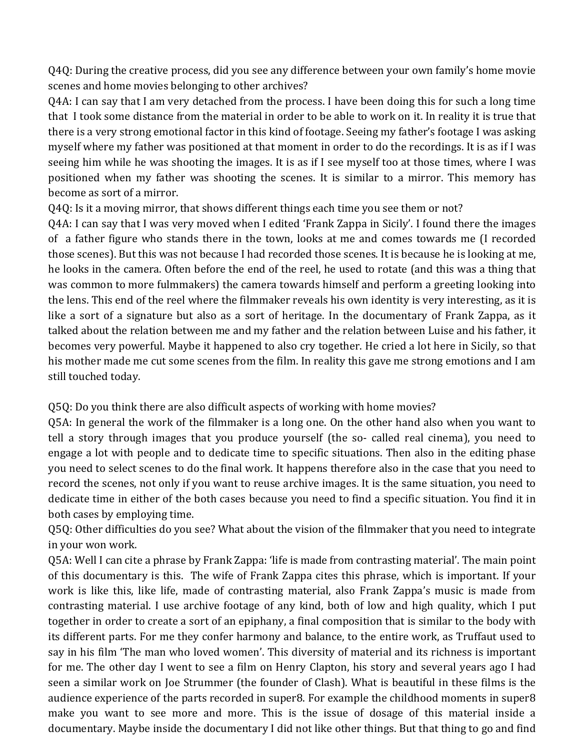Q4Q: During the creative process, did you see any difference between your own family's home movie scenes and home movies belonging to other archives?

Q4A: I can say that I am very detached from the process. I have been doing this for such a long time that I took some distance from the material in order to be able to work on it. In reality it is true that there is a very strong emotional factor in this kind of footage. Seeing my father's footage I was asking myself where my father was positioned at that moment in order to do the recordings. It is as if I was seeing him while he was shooting the images. It is as if I see myself too at those times, where I was positioned when my father was shooting the scenes. It is similar to a mirror. This memory has become as sort of a mirror.

Q4Q: Is it a moving mirror, that shows different things each time you see them or not?

Q4A: I can say that I was very moved when I edited 'Frank Zappa in Sicily'. I found there the images of a father figure who stands there in the town, looks at me and comes towards me (I recorded those scenes). But this was not because I had recorded those scenes. It is because he is looking at me, he looks in the camera. Often before the end of the reel, he used to rotate (and this was a thing that was common to more fulmmakers) the camera towards himself and perform a greeting looking into the lens. This end of the reel where the filmmaker reveals his own identity is very interesting, as it is like a sort of a signature but also as a sort of heritage. In the documentary of Frank Zappa, as it talked about the relation between me and my father and the relation between Luise and his father, it becomes very powerful. Maybe it happened to also cry together. He cried a lot here in Sicily, so that his mother made me cut some scenes from the film. In reality this gave me strong emotions and I am still touched today.

Q5Q: Do you think there are also difficult aspects of working with home movies?

Q5A: In general the work of the filmmaker is a long one. On the other hand also when you want to tell a story through images that you produce yourself (the so- called real cinema), you need to engage a lot with people and to dedicate time to specific situations. Then also in the editing phase you need to select scenes to do the final work. It happens therefore also in the case that you need to record the scenes, not only if you want to reuse archive images. It is the same situation, you need to dedicate time in either of the both cases because you need to find a specific situation. You find it in both cases by employing time.

Q5Q: Other difficulties do you see? What about the vision of the filmmaker that you need to integrate in your won work.

Q5A: Well I can cite a phrase by Frank Zappa: 'life is made from contrasting material'. The main point of this documentary is this. The wife of Frank Zappa cites this phrase, which is important. If your work is like this, like life, made of contrasting material, also Frank Zappa's music is made from contrasting material. I use archive footage of any kind, both of low and high quality, which I put together in order to create a sort of an epiphany, a final composition that is similar to the body with its different parts. For me they confer harmony and balance, to the entire work, as Truffaut used to say in his film 'The man who loved women'. This diversity of material and its richness is important for me. The other day I went to see a film on Henry Clapton, his story and several years ago I had seen a similar work on Joe Strummer (the founder of Clash). What is beautiful in these films is the audience experience of the parts recorded in super8. For example the childhood moments in super8 make you want to see more and more. This is the issue of dosage of this material inside a documentary. Maybe inside the documentary I did not like other things. But that thing to go and find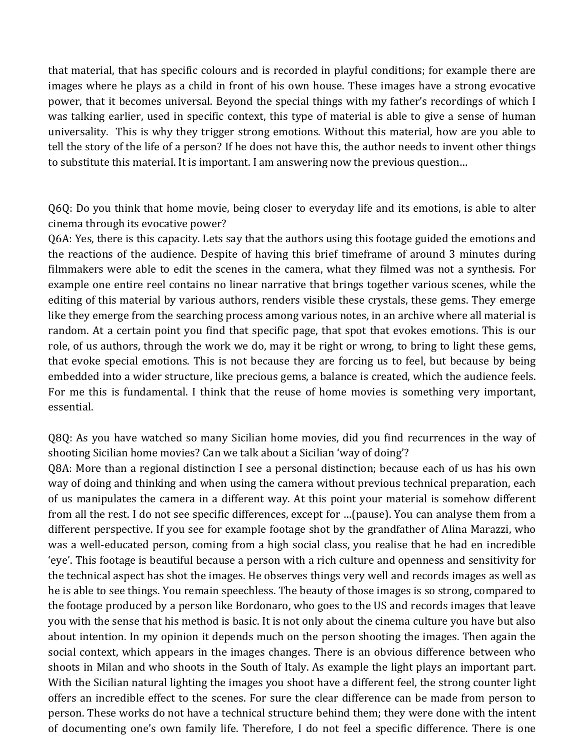that material, that has specific colours and is recorded in playful conditions; for example there are images where he plays as a child in front of his own house. These images have a strong evocative power, that it becomes universal. Beyond the special things with my father's recordings of which I was talking earlier, used in specific context, this type of material is able to give a sense of human universality. This is why they trigger strong emotions. Without this material, how are you able to tell the story of the life of a person? If he does not have this, the author needs to invent other things to substitute this material. It is important. I am answering now the previous question...

Q6Q: Do you think that home movie, being closer to everyday life and its emotions, is able to alter cinema through its evocative power?

Q6A: Yes, there is this capacity. Lets say that the authors using this footage guided the emotions and the reactions of the audience. Despite of having this brief timeframe of around 3 minutes during filmmakers were able to edit the scenes in the camera, what they filmed was not a synthesis. For example one entire reel contains no linear narrative that brings together various scenes, while the editing of this material by various authors, renders visible these crystals, these gems. They emerge like they emerge from the searching process among various notes, in an archive where all material is random. At a certain point you find that specific page, that spot that evokes emotions. This is our role, of us authors, through the work we do, may it be right or wrong, to bring to light these gems, that evoke special emotions. This is not because they are forcing us to feel, but because by being embedded into a wider structure, like precious gems, a balance is created, which the audience feels. For me this is fundamental. I think that the reuse of home movies is something very important, essential.

Q8Q: As you have watched so many Sicilian home movies, did you find recurrences in the way of shooting Sicilian home movies? Can we talk about a Sicilian 'way of doing'?

Q8A: More than a regional distinction I see a personal distinction; because each of us has his own way of doing and thinking and when using the camera without previous technical preparation, each of us manipulates the camera in a different way. At this point your material is somehow different from all the rest. I do not see specific differences, except for …(pause). You can analyse them from a different perspective. If you see for example footage shot by the grandfather of Alina Marazzi, who was a well-educated person, coming from a high social class, you realise that he had en incredible 'eye'. This footage is beautiful because a person with a rich culture and openness and sensitivity for the technical aspect has shot the images. He observes things very well and records images as well as he is able to see things. You remain speechless. The beauty of those images is so strong, compared to the footage produced by a person like Bordonaro, who goes to the US and records images that leave you with the sense that his method is basic. It is not only about the cinema culture you have but also about intention. In my opinion it depends much on the person shooting the images. Then again the social context, which appears in the images changes. There is an obvious difference between who shoots in Milan and who shoots in the South of Italy. As example the light plays an important part. With the Sicilian natural lighting the images you shoot have a different feel, the strong counter light offers an incredible effect to the scenes. For sure the clear difference can be made from person to person. These works do not have a technical structure behind them; they were done with the intent of documenting one's own family life. Therefore, I do not feel a specific difference. There is one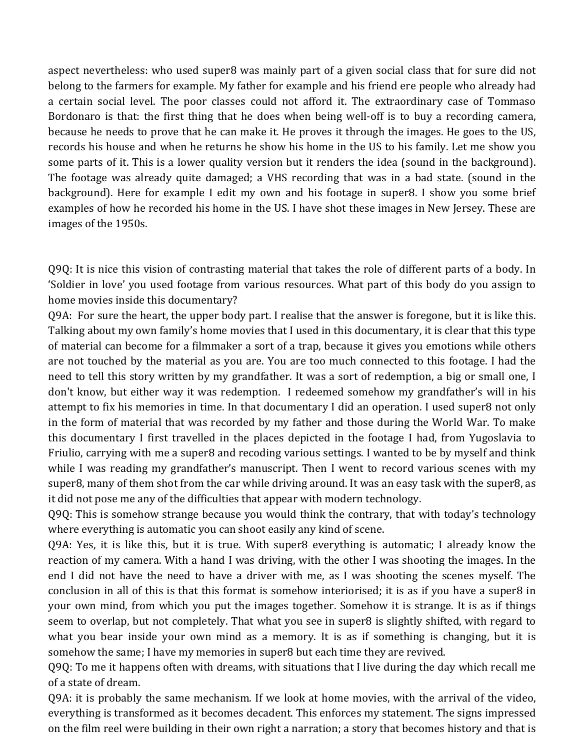aspect nevertheless: who used super8 was mainly part of a given social class that for sure did not belong to the farmers for example. My father for example and his friend ere people who already had a certain social level. The poor classes could not afford it. The extraordinary case of Tommaso Bordonaro is that: the first thing that he does when being well-off is to buy a recording camera, because he needs to prove that he can make it. He proves it through the images. He goes to the US, records his house and when he returns he show his home in the US to his family. Let me show you some parts of it. This is a lower quality version but it renders the idea (sound in the background). The footage was already quite damaged; a VHS recording that was in a bad state. (sound in the background). Here for example I edit my own and his footage in super8. I show you some brief examples of how he recorded his home in the US. I have shot these images in New Jersey. These are images of the 1950s.

Q9Q: It is nice this vision of contrasting material that takes the role of different parts of a body. In 'Soldier in love' you used footage from various resources. What part of this body do you assign to home movies inside this documentary?

Q9A: For sure the heart, the upper body part. I realise that the answer is foregone, but it is like this. Talking about my own family's home movies that I used in this documentary, it is clear that this type of material can become for a filmmaker a sort of a trap, because it gives you emotions while others are not touched by the material as you are. You are too much connected to this footage. I had the need to tell this story written by my grandfather. It was a sort of redemption, a big or small one, I don't know, but either way it was redemption. I redeemed somehow my grandfather's will in his attempt to fix his memories in time. In that documentary I did an operation. I used super8 not only in the form of material that was recorded by my father and those during the World War. To make this documentary I first travelled in the places depicted in the footage I had, from Yugoslavia to Friulio, carrying with me a super8 and recoding various settings. I wanted to be by myself and think while I was reading my grandfather's manuscript. Then I went to record various scenes with my super8, many of them shot from the car while driving around. It was an easy task with the super8, as it did not pose me any of the difficulties that appear with modern technology.

Q9Q: This is somehow strange because you would think the contrary, that with today's technology where everything is automatic you can shoot easily any kind of scene.

Q9A: Yes, it is like this, but it is true. With super8 everything is automatic; I already know the reaction of my camera. With a hand I was driving, with the other I was shooting the images. In the end I did not have the need to have a driver with me, as I was shooting the scenes myself. The conclusion in all of this is that this format is somehow interiorised; it is as if you have a super8 in your own mind, from which you put the images together. Somehow it is strange. It is as if things seem to overlap, but not completely. That what you see in super8 is slightly shifted, with regard to what you bear inside your own mind as a memory. It is as if something is changing, but it is somehow the same; I have my memories in super8 but each time they are revived.

Q9Q: To me it happens often with dreams, with situations that I live during the day which recall me of a state of dream.

Q9A: it is probably the same mechanism. If we look at home movies, with the arrival of the video, everything is transformed as it becomes decadent. This enforces my statement. The signs impressed on the film reel were building in their own right a narration; a story that becomes history and that is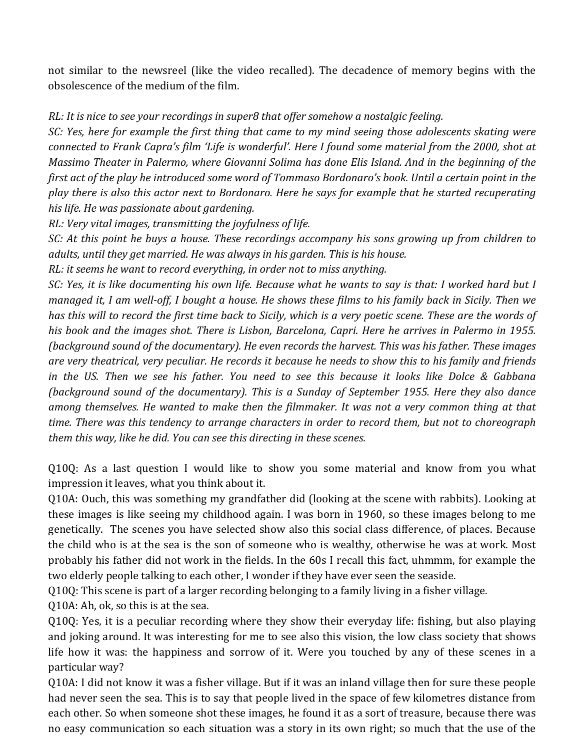not similar to the newsreel (like the video recalled). The decadence of memory begins with the obsolescence of the medium of the film.

## *RL: It is nice to see your recordings in super8 that offer somehow a nostalgic feeling.*

*SC:* Yes, here for example the first thing that came to my mind seeing those adolescents skating were *connected to Frank Capra's film 'Life is wonderful'. Here I found some material from the 2000, shot at Massimo Theater in Palermo, where Giovanni Solima has done Elis Island. And in the beginning of the first act of the play he introduced some word of Tommaso Bordonaro's book. Until a certain point in the play there is also this actor next to Bordonaro. Here he says for example that he started recuperating* his life. He was passionate about gardening.

*RL: Very vital images, transmitting the joyfulness of life.* 

*SC:* At this point he buys a house. These recordings accompany his sons growing up from children to adults, until they get married. He was always in his garden. This is his house.

*RL:* it seems he want to record everything, in order not to miss anything.

*SC: Yes, it is like documenting his own life. Because what he wants to say is that: I worked hard but I managed it, I am well-off, I bought a house. He shows these films to his family back in Sicily. Then we has* this will to record the first time back to Sicily, which is a very poetic scene. These are the words of his book and the images shot. There is Lisbon, Barcelona, Capri. Here he arrives in Palermo in 1955. (background sound of the documentary). He even records the harvest. This was his father. These images are very theatrical, very peculiar. He records it because he needs to show this to his family and friends *in* the US. Then we see his father. You need to see this because it looks like Dolce & Gabbana *(background sound of the documentary). This is a Sunday of September 1955. Here they also dance* among themselves. He wanted to make then the filmmaker. It was not a very common thing at that *time.* There was this tendency to arrange characters in order to record them, but not to choreograph *them this way, like he did. You can see this directing in these scenes.* 

Q10Q: As a last question I would like to show you some material and know from you what impression it leaves, what you think about it.

Q10A: Ouch, this was something my grandfather did (looking at the scene with rabbits). Looking at these images is like seeing my childhood again. I was born in 1960, so these images belong to me genetically. The scenes you have selected show also this social class difference, of places. Because the child who is at the sea is the son of someone who is wealthy, otherwise he was at work. Most probably his father did not work in the fields. In the 60s I recall this fact, uhmmm, for example the two elderly people talking to each other, I wonder if they have ever seen the seaside.

Q10Q: This scene is part of a larger recording belonging to a family living in a fisher village.

Q10A: Ah, ok, so this is at the sea.

Q10Q: Yes, it is a peculiar recording where they show their everyday life: fishing, but also playing and joking around. It was interesting for me to see also this vision, the low class society that shows life how it was: the happiness and sorrow of it. Were you touched by any of these scenes in a particular way?

Q10A: I did not know it was a fisher village. But if it was an inland village then for sure these people had never seen the sea. This is to say that people lived in the space of few kilometres distance from each other. So when someone shot these images, he found it as a sort of treasure, because there was no easy communication so each situation was a story in its own right; so much that the use of the